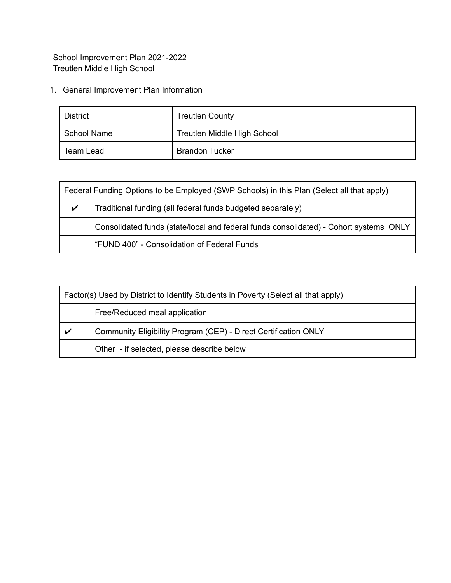School Improvement Plan 2021-2022 Treutlen Middle High School

1. General Improvement Plan Information

| District    | <b>Treutlen County</b>      |
|-------------|-----------------------------|
| School Name | Treutlen Middle High School |
| Team Lead   | <b>Brandon Tucker</b>       |

| Federal Funding Options to be Employed (SWP Schools) in this Plan (Select all that apply) |                                                                                       |
|-------------------------------------------------------------------------------------------|---------------------------------------------------------------------------------------|
| $\boldsymbol{\mathcal{U}}$                                                                | Traditional funding (all federal funds budgeted separately)                           |
|                                                                                           | Consolidated funds (state/local and federal funds consolidated) - Cohort systems ONLY |
|                                                                                           | "FUND 400" - Consolidation of Federal Funds                                           |

| Factor(s) Used by District to Identify Students in Poverty (Select all that apply) |                                                                 |
|------------------------------------------------------------------------------------|-----------------------------------------------------------------|
|                                                                                    | Free/Reduced meal application                                   |
| V                                                                                  | Community Eligibility Program (CEP) - Direct Certification ONLY |
|                                                                                    | Other - if selected, please describe below                      |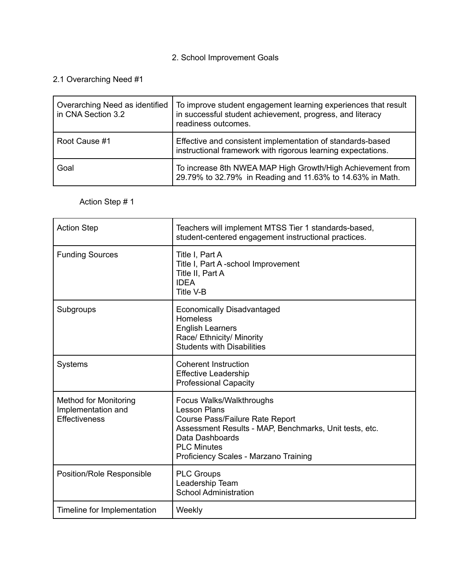## 2. School Improvement Goals

## 2.1 Overarching Need #1

| Overarching Need as identified<br>in CNA Section 3.2 | To improve student engagement learning experiences that result<br>in successful student achievement, progress, and literacy<br>readiness outcomes. |
|------------------------------------------------------|----------------------------------------------------------------------------------------------------------------------------------------------------|
| Root Cause #1                                        | Effective and consistent implementation of standards-based<br>instructional framework with rigorous learning expectations.                         |
| Goal                                                 | To increase 8th NWEA MAP High Growth/High Achievement from<br>29.79% to 32.79% in Reading and 11.63% to 14.63% in Math.                            |

## Action Step # 1

| <b>Action Step</b>                                                  | Teachers will implement MTSS Tier 1 standards-based,<br>student-centered engagement instructional practices.                                                                                                                   |
|---------------------------------------------------------------------|--------------------------------------------------------------------------------------------------------------------------------------------------------------------------------------------------------------------------------|
| <b>Funding Sources</b>                                              | Title I, Part A<br>Title I, Part A-school Improvement<br>Title II, Part A<br><b>IDEA</b><br>Title V-B                                                                                                                          |
| Subgroups                                                           | <b>Economically Disadvantaged</b><br><b>Homeless</b><br><b>English Learners</b><br>Race/ Ethnicity/ Minority<br><b>Students with Disabilities</b>                                                                              |
| <b>Systems</b>                                                      | <b>Coherent Instruction</b><br><b>Effective Leadership</b><br><b>Professional Capacity</b>                                                                                                                                     |
| <b>Method for Monitoring</b><br>Implementation and<br>Effectiveness | Focus Walks/Walkthroughs<br><b>Lesson Plans</b><br>Course Pass/Failure Rate Report<br>Assessment Results - MAP, Benchmarks, Unit tests, etc.<br>Data Dashboards<br><b>PLC Minutes</b><br>Proficiency Scales - Marzano Training |
| Position/Role Responsible                                           | <b>PLC Groups</b><br>Leadership Team<br><b>School Administration</b>                                                                                                                                                           |
| Timeline for Implementation                                         | Weekly                                                                                                                                                                                                                         |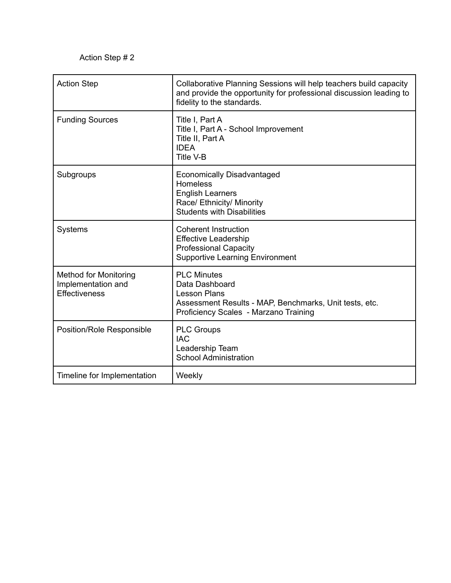| <b>Action Step</b>                                                         | Collaborative Planning Sessions will help teachers build capacity<br>and provide the opportunity for professional discussion leading to<br>fidelity to the standards. |
|----------------------------------------------------------------------------|-----------------------------------------------------------------------------------------------------------------------------------------------------------------------|
| <b>Funding Sources</b>                                                     | Title I, Part A<br>Title I, Part A - School Improvement<br>Title II, Part A<br><b>IDEA</b><br>Title V-B                                                               |
| Subgroups                                                                  | <b>Economically Disadvantaged</b><br>Homeless<br><b>English Learners</b><br>Race/ Ethnicity/ Minority<br><b>Students with Disabilities</b>                            |
| <b>Systems</b>                                                             | <b>Coherent Instruction</b><br><b>Effective Leadership</b><br><b>Professional Capacity</b><br><b>Supportive Learning Environment</b>                                  |
| <b>Method for Monitoring</b><br>Implementation and<br><b>Effectiveness</b> | <b>PLC Minutes</b><br>Data Dashboard<br><b>Lesson Plans</b><br>Assessment Results - MAP, Benchmarks, Unit tests, etc.<br>Proficiency Scales - Marzano Training        |
| Position/Role Responsible                                                  | <b>PLC Groups</b><br><b>IAC</b><br>Leadership Team<br><b>School Administration</b>                                                                                    |
| Timeline for Implementation                                                | Weekly                                                                                                                                                                |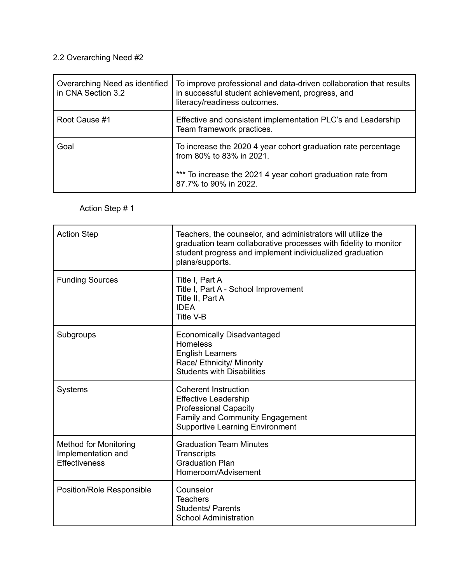## 2.2 Overarching Need #2

| Overarching Need as identified<br>in CNA Section 3.2 | To improve professional and data-driven collaboration that results<br>in successful student achievement, progress, and<br>literacy/readiness outcomes.                            |
|------------------------------------------------------|-----------------------------------------------------------------------------------------------------------------------------------------------------------------------------------|
| Root Cause #1                                        | Effective and consistent implementation PLC's and Leadership<br>Team framework practices.                                                                                         |
| Goal                                                 | To increase the 2020 4 year cohort graduation rate percentage<br>from 80% to 83% in 2021.<br>*** To increase the 2021 4 year cohort graduation rate from<br>87.7% to 90% in 2022. |

# Action Step # 1

| <b>Action Step</b>                                                  | Teachers, the counselor, and administrators will utilize the<br>graduation team collaborative processes with fidelity to monitor<br>student progress and implement individualized graduation<br>plans/supports. |
|---------------------------------------------------------------------|-----------------------------------------------------------------------------------------------------------------------------------------------------------------------------------------------------------------|
| <b>Funding Sources</b>                                              | Title I, Part A<br>Title I, Part A - School Improvement<br>Title II, Part A<br><b>IDEA</b><br><b>Title V-B</b>                                                                                                  |
| Subgroups                                                           | <b>Economically Disadvantaged</b><br><b>Homeless</b><br><b>English Learners</b><br>Race/ Ethnicity/ Minority<br><b>Students with Disabilities</b>                                                               |
| <b>Systems</b>                                                      | <b>Coherent Instruction</b><br><b>Effective Leadership</b><br><b>Professional Capacity</b><br>Family and Community Engagement<br><b>Supportive Learning Environment</b>                                         |
| <b>Method for Monitoring</b><br>Implementation and<br>Effectiveness | <b>Graduation Team Minutes</b><br>Transcripts<br><b>Graduation Plan</b><br>Homeroom/Advisement                                                                                                                  |
| Position/Role Responsible                                           | Counselor<br><b>Teachers</b><br><b>Students/ Parents</b><br><b>School Administration</b>                                                                                                                        |